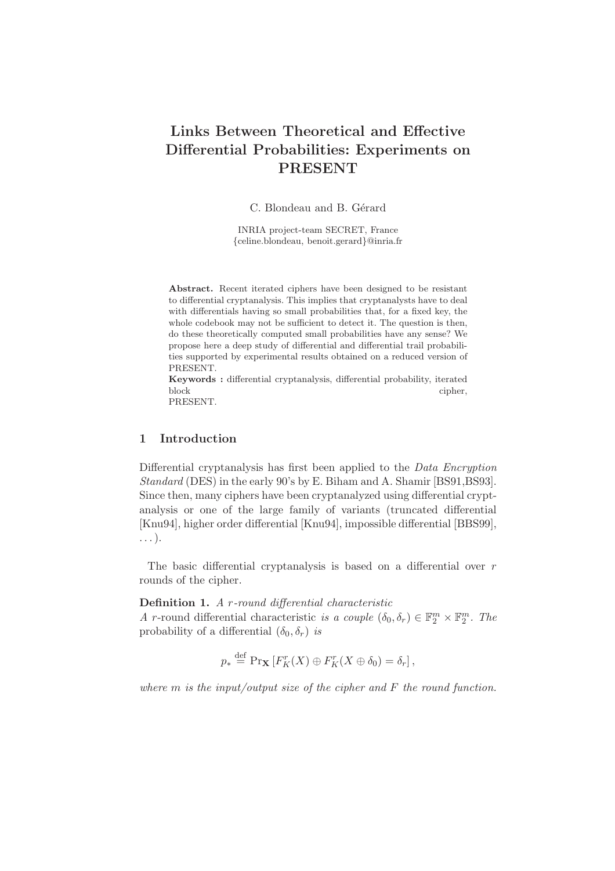# Links Between Theoretical and Effective Differential Probabilities: Experiments on PRESENT

C. Blondeau and B. Gérard

INRIA project-team SECRET, France {celine.blondeau, benoit.gerard}@inria.fr

Abstract. Recent iterated ciphers have been designed to be resistant to differential cryptanalysis. This implies that cryptanalysts have to deal with differentials having so small probabilities that, for a fixed key, the whole codebook may not be sufficient to detect it. The question is then, do these theoretically computed small probabilities have any sense? We propose here a deep study of differential and differential trail probabilities supported by experimental results obtained on a reduced version of PRESENT.

Keywords : differential cryptanalysis, differential probability, iterated block cipher,

PRESENT.

# 1 Introduction

Differential cryptanalysis has first been applied to the Data Encryption Standard (DES) in the early 90's by E. Biham and A. Shamir [BS91,BS93]. Since then, many ciphers have been cryptanalyzed using differential cryptanalysis or one of the large family of variants (truncated differential [Knu94], higher order differential [Knu94], impossible differential [BBS99], . . . ).

The basic differential cryptanalysis is based on a differential over  $r$ rounds of the cipher.

Definition 1. A r-round differential characteristic A r-round differential characteristic is a couple  $(\delta_0, \delta_r) \in \mathbb{F}_2^m \times \mathbb{F}_2^m$ . The probability of a differential  $(\delta_0, \delta_r)$  is

$$
p_* \stackrel{\text{def}}{=} \Pr_{\mathbf{X}} [F_K^r(X) \oplus F_K^r(X \oplus \delta_0) = \delta_r],
$$

where  $m$  is the input/output size of the cipher and  $F$  the round function.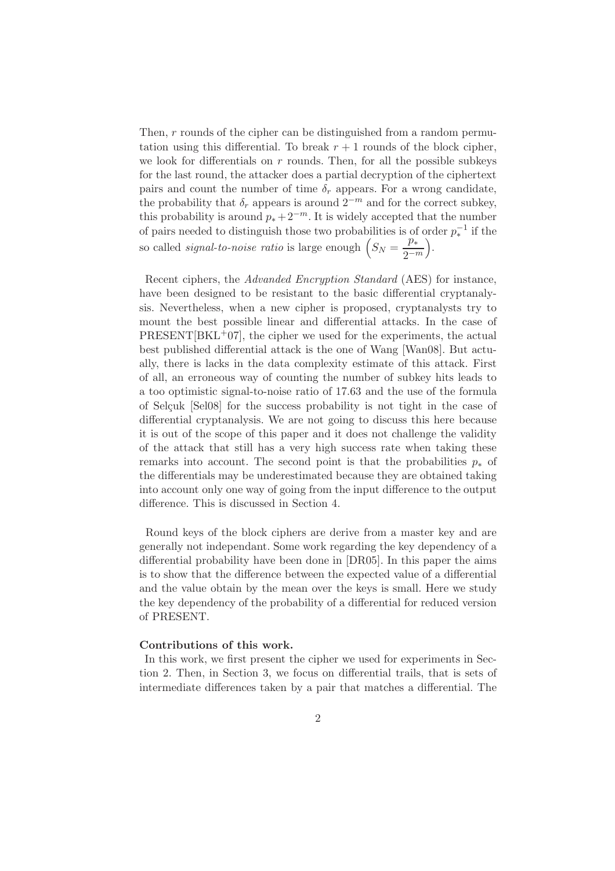Then, r rounds of the cipher can be distinguished from a random permutation using this differential. To break  $r + 1$  rounds of the block cipher, we look for differentials on  $r$  rounds. Then, for all the possible subkeys for the last round, the attacker does a partial decryption of the ciphertext pairs and count the number of time  $\delta_r$  appears. For a wrong candidate, the probability that  $\delta_r$  appears is around  $2^{-m}$  and for the correct subkey, this probability is around  $p_* + 2^{-m}$ . It is widely accepted that the number of pairs needed to distinguish those two probabilities is of order  $p_*^{-1}$  if the so called *signal-to-noise ratio* is large enough  $(S_N = \frac{p_*}{2\pi i})$  $2^{-m}$ .

Recent ciphers, the Advanded Encryption Standard (AES) for instance, have been designed to be resistant to the basic differential cryptanalysis. Nevertheless, when a new cipher is proposed, cryptanalysts try to mount the best possible linear and differential attacks. In the case of  $PRESENT[BKL+07]$ , the cipher we used for the experiments, the actual best published differential attack is the one of Wang [Wan08]. But actually, there is lacks in the data complexity estimate of this attack. First of all, an erroneous way of counting the number of subkey hits leads to a too optimistic signal-to-noise ratio of 17.63 and the use of the formula of Selcuk [Sel08] for the success probability is not tight in the case of differential cryptanalysis. We are not going to discuss this here because it is out of the scope of this paper and it does not challenge the validity of the attack that still has a very high success rate when taking these remarks into account. The second point is that the probabilities  $p_*$  of the differentials may be underestimated because they are obtained taking into account only one way of going from the input difference to the output difference. This is discussed in Section 4.

Round keys of the block ciphers are derive from a master key and are generally not independant. Some work regarding the key dependency of a differential probability have been done in [DR05]. In this paper the aims is to show that the difference between the expected value of a differential and the value obtain by the mean over the keys is small. Here we study the key dependency of the probability of a differential for reduced version of PRESENT.

#### Contributions of this work.

In this work, we first present the cipher we used for experiments in Section 2. Then, in Section 3, we focus on differential trails, that is sets of intermediate differences taken by a pair that matches a differential. The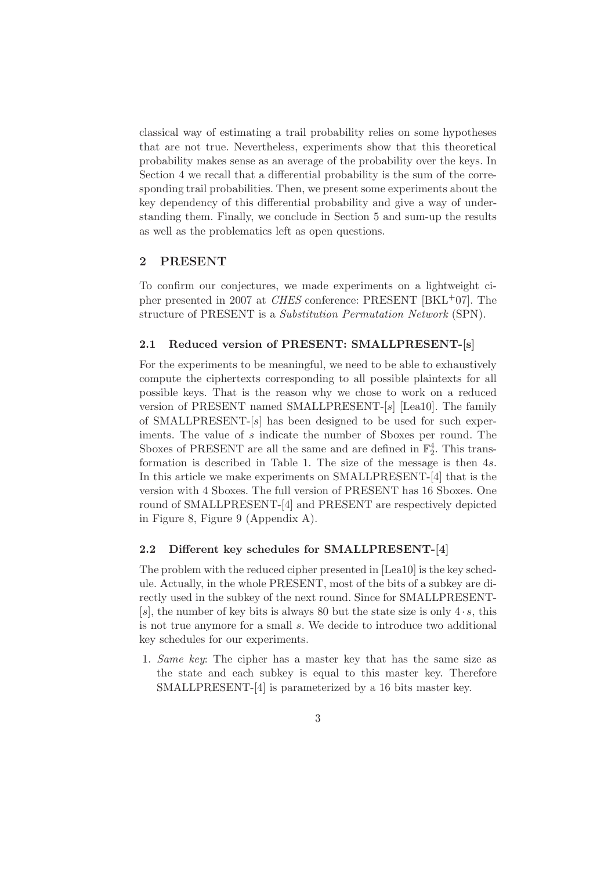classical way of estimating a trail probability relies on some hypotheses that are not true. Nevertheless, experiments show that this theoretical probability makes sense as an average of the probability over the keys. In Section 4 we recall that a differential probability is the sum of the corresponding trail probabilities. Then, we present some experiments about the key dependency of this differential probability and give a way of understanding them. Finally, we conclude in Section 5 and sum-up the results as well as the problematics left as open questions.

## 2 PRESENT

To confirm our conjectures, we made experiments on a lightweight cipher presented in 2007 at CHES conference: PRESENT [BKL+07]. The structure of PRESENT is a Substitution Permutation Network (SPN).

### 2.1 Reduced version of PRESENT: SMALLPRESENT-[s]

For the experiments to be meaningful, we need to be able to exhaustively compute the ciphertexts corresponding to all possible plaintexts for all possible keys. That is the reason why we chose to work on a reduced version of PRESENT named SMALLPRESENT-[s] [Lea10]. The family of SMALLPRESENT-[s] has been designed to be used for such experiments. The value of s indicate the number of Sboxes per round. The Sboxes of PRESENT are all the same and are defined in  $\mathbb{F}_2^4$ . This transformation is described in Table 1. The size of the message is then 4s. In this article we make experiments on SMALLPRESENT-[4] that is the version with 4 Sboxes. The full version of PRESENT has 16 Sboxes. One round of SMALLPRESENT-[4] and PRESENT are respectively depicted in Figure 8, Figure 9 (Appendix A).

### 2.2 Different key schedules for SMALLPRESENT-[4]

The problem with the reduced cipher presented in [Lea10] is the key schedule. Actually, in the whole PRESENT, most of the bits of a subkey are directly used in the subkey of the next round. Since for SMALLPRESENT- [s], the number of key bits is always 80 but the state size is only  $4 \cdot s$ , this is not true anymore for a small s. We decide to introduce two additional key schedules for our experiments.

1. Same key: The cipher has a master key that has the same size as the state and each subkey is equal to this master key. Therefore SMALLPRESENT-[4] is parameterized by a 16 bits master key.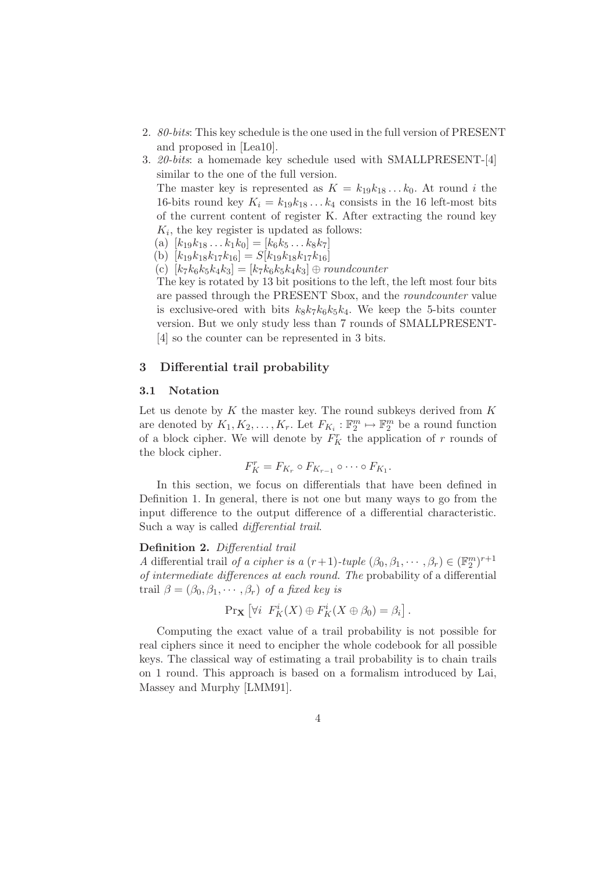- 2. 80-bits: This key schedule is the one used in the full version of PRESENT and proposed in [Lea10].
- 3. 20-bits: a homemade key schedule used with SMALLPRESENT-[4] similar to the one of the full version.

The master key is represented as  $K = k_{19}k_{18} \dots k_0$ . At round i the 16-bits round key  $K_i = k_{19}k_{18} \dots k_4$  consists in the 16 left-most bits of the current content of register K. After extracting the round key  $K_i$ , the key register is updated as follows:

- (a)  $[k_{19}k_{18}\ldots k_{1}k_{0}] = [k_{6}k_{5}\ldots k_{8}k_{7}]$
- (b)  $[k_{19}k_{18}k_{17}k_{16}] = S[k_{19}k_{18}k_{17}k_{16}]$
- (c)  $[k_7k_6k_5k_4k_3] = [k_7k_6k_5k_4k_3] \oplus \text{roundcounter}$

The key is rotated by 13 bit positions to the left, the left most four bits are passed through the PRESENT Sbox, and the roundcounter value is exclusive-ored with bits  $k_8k_7k_6k_5k_4$ . We keep the 5-bits counter version. But we only study less than 7 rounds of SMALLPRESENT- [4] so the counter can be represented in 3 bits.

### 3 Differential trail probability

#### 3.1 Notation

Let us denote by  $K$  the master key. The round subkeys derived from  $K$ are denoted by  $K_1, K_2, \ldots, K_r$ . Let  $F_{K_i} : \mathbb{F}_2^m \mapsto \mathbb{F}_2^m$  be a round function of a block cipher. We will denote by  $F_K^r$  the application of r rounds of the block cipher.

$$
F_K^r = F_{K_r} \circ F_{K_{r-1}} \circ \cdots \circ F_{K_1}.
$$

In this section, we focus on differentials that have been defined in Definition 1. In general, there is not one but many ways to go from the input difference to the output difference of a differential characteristic. Such a way is called differential trail.

#### Definition 2. Differential trail

A differential trail of a cipher is a  $(r+1)$ -tuple  $(\beta_0, \beta_1, \dots, \beta_r) \in (\mathbb{F}_2^m)^{r+1}$ of intermediate differences at each round. The probability of a differential trail  $\beta = (\beta_0, \beta_1, \cdots, \beta_r)$  of a fixed key is

$$
\Pr{\mathbf{X}\left[\forall i \ \ F_K^i(X)\oplus F_K^i(X\oplus \beta_0)=\beta_i\right]}.
$$

Computing the exact value of a trail probability is not possible for real ciphers since it need to encipher the whole codebook for all possible keys. The classical way of estimating a trail probability is to chain trails on 1 round. This approach is based on a formalism introduced by Lai, Massey and Murphy [LMM91].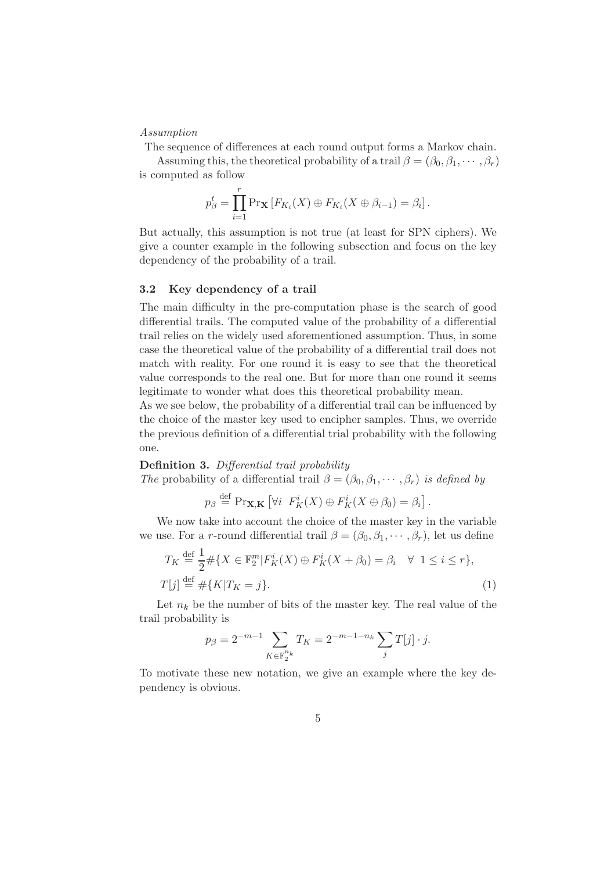### Assumption

The sequence of differences at each round output forms a Markov chain.

Assuming this, the theoretical probability of a trail  $\beta = (\beta_0, \beta_1, \cdots, \beta_r)$ is computed as follow

$$
p_{\beta}^{t} = \prod_{i=1}^{r} \Pr_{\mathbf{X}} [F_{K_i}(X) \oplus F_{K_i}(X \oplus \beta_{i-1}) = \beta_i].
$$

But actually, this assumption is not true (at least for SPN ciphers). We give a counter example in the following subsection and focus on the key dependency of the probability of a trail.

### 3.2 Key dependency of a trail

The main difficulty in the pre-computation phase is the search of good differential trails. The computed value of the probability of a differential trail relies on the widely used aforementioned assumption. Thus, in some case the theoretical value of the probability of a differential trail does not match with reality. For one round it is easy to see that the theoretical value corresponds to the real one. But for more than one round it seems legitimate to wonder what does this theoretical probability mean.

As we see below, the probability of a differential trail can be influenced by the choice of the master key used to encipher samples. Thus, we override the previous definition of a differential trial probability with the following one.

### Definition 3. Differential trail probability

The probability of a differential trail  $\beta = (\beta_0, \beta_1, \dots, \beta_r)$  is defined by

$$
p_{\beta} \stackrel{\text{def}}{=} \Pr_{\mathbf{X},\mathbf{K}} \left[ \forall i \ \ F_K^i(X) \oplus F_K^i(X \oplus \beta_0) = \beta_i \right].
$$

We now take into account the choice of the master key in the variable we use. For a r-round differential trail  $\beta = (\beta_0, \beta_1, \dots, \beta_r)$ , let us define

$$
T_K \stackrel{\text{def}}{=} \frac{1}{2} \# \{ X \in \mathbb{F}_2^m | F_K^i(X) \oplus F_K^i(X + \beta_0) = \beta_i \quad \forall \ 1 \le i \le r \},
$$
  

$$
T[j] \stackrel{\text{def}}{=} \# \{ K | T_K = j \}.
$$
 (1)

Let  $n_k$  be the number of bits of the master key. The real value of the trail probability is

$$
p_{\beta} = 2^{-m-1} \sum_{K \in \mathbb{F}_2^{n_k}} T_K = 2^{-m-1-n_k} \sum_j T[j] \cdot j.
$$

To motivate these new notation, we give an example where the key dependency is obvious.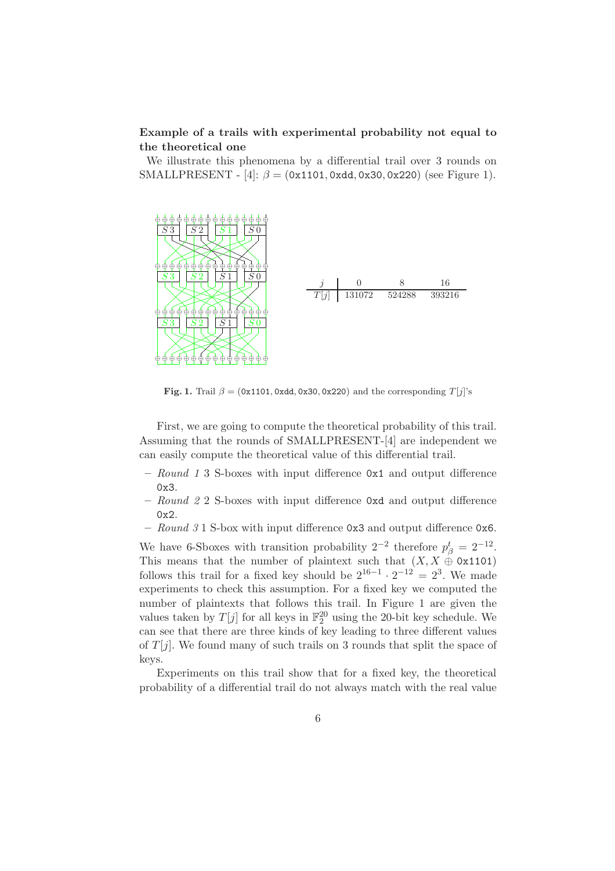# Example of a trails with experimental probability not equal to the theoretical one

We illustrate this phenomena by a differential trail over 3 rounds on SMALLPRESENT - [4]:  $\beta = (0x1101, 0xdd, 0x30, 0x220)$  (see Figure 1).



Fig. 1. Trail  $\beta = (0x1101, 0xdd, 0x30, 0x220)$  and the corresponding  $T[i]$ 's

First, we are going to compute the theoretical probability of this trail. Assuming that the rounds of SMALLPRESENT-[4] are independent we can easily compute the theoretical value of this differential trail.

- Round 1 3 S-boxes with input difference  $\alpha x_1$  and output difference 0x3.
- Round 2 2 S-boxes with input difference 0xd and output difference 0x2.
- Round 3 1 S-box with input difference 0x3 and output difference 0x6.

We have 6-Sboxes with transition probability  $2^{-2}$  therefore  $p_{\beta}^t = 2^{-12}$ . This means that the number of plaintext such that  $(X, X \oplus 0x1101)$ follows this trail for a fixed key should be  $2^{16-1} \cdot 2^{-12} = 2^3$ . We made experiments to check this assumption. For a fixed key we computed the number of plaintexts that follows this trail. In Figure 1 are given the values taken by  $T[j]$  for all keys in  $\mathbb{F}_2^{20}$  using the 20-bit key schedule. We can see that there are three kinds of key leading to three different values of  $T[j]$ . We found many of such trails on 3 rounds that split the space of keys.

Experiments on this trail show that for a fixed key, the theoretical probability of a differential trail do not always match with the real value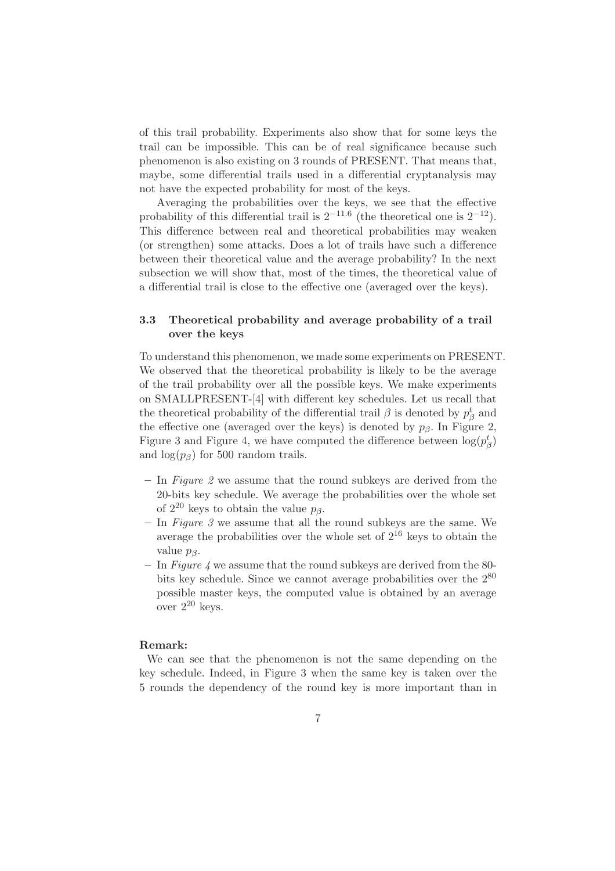of this trail probability. Experiments also show that for some keys the trail can be impossible. This can be of real significance because such phenomenon is also existing on 3 rounds of PRESENT. That means that, maybe, some differential trails used in a differential cryptanalysis may not have the expected probability for most of the keys.

Averaging the probabilities over the keys, we see that the effective probability of this differential trail is  $2^{-11.6}$  (the theoretical one is  $2^{-12}$ ). This difference between real and theoretical probabilities may weaken (or strengthen) some attacks. Does a lot of trails have such a difference between their theoretical value and the average probability? In the next subsection we will show that, most of the times, the theoretical value of a differential trail is close to the effective one (averaged over the keys).

# 3.3 Theoretical probability and average probability of a trail over the keys

To understand this phenomenon, we made some experiments on PRESENT. We observed that the theoretical probability is likely to be the average of the trail probability over all the possible keys. We make experiments on SMALLPRESENT-[4] with different key schedules. Let us recall that the theoretical probability of the differential trail  $\beta$  is denoted by  $p_{\beta}^{t}$  and the effective one (averaged over the keys) is denoted by  $p_\beta$ . In Figure 2, Figure 3 and Figure 4, we have computed the difference between  $\log(p_{\beta}^t)$ and  $log(p_\beta)$  for 500 random trails.

- $-$  In Figure 2 we assume that the round subkeys are derived from the 20-bits key schedule. We average the probabilities over the whole set of  $2^{20}$  keys to obtain the value  $p_{\beta}$ .
- $-$  In *Figure 3* we assume that all the round subkeys are the same. We average the probabilities over the whole set of  $2^{16}$  keys to obtain the value  $p_{\beta}$ .
- In Figure 4 we assume that the round subkeys are derived from the 80bits key schedule. Since we cannot average probabilities over the 2<sup>80</sup> possible master keys, the computed value is obtained by an average over  $2^{20}$  keys.

### Remark:

We can see that the phenomenon is not the same depending on the key schedule. Indeed, in Figure 3 when the same key is taken over the 5 rounds the dependency of the round key is more important than in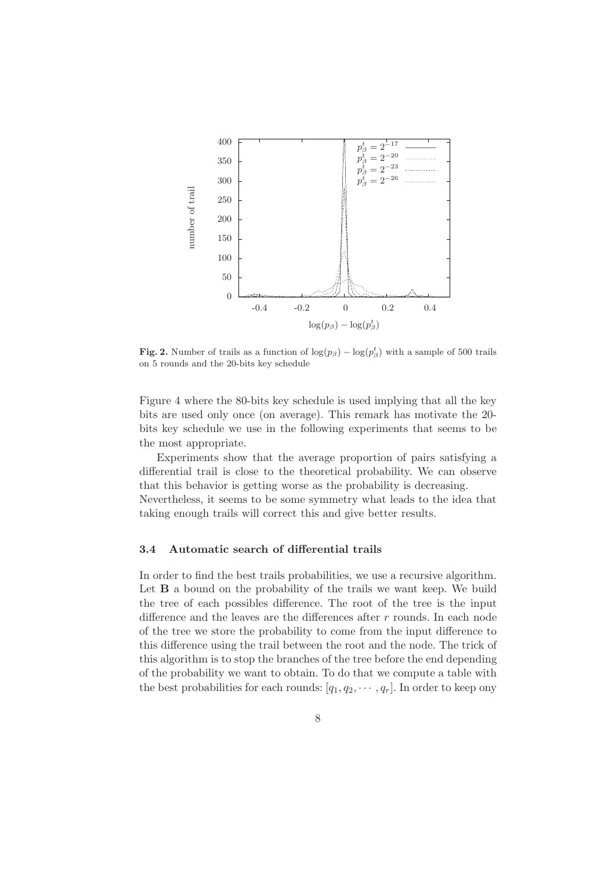

Fig. 2. Number of trails as a function of  $\log(p_\beta) - \log(p_\beta^t)$  with a sample of 500 trails on 5 rounds and the 20-bits key schedule

Figure 4 where the 80-bits key schedule is used implying that all the key bits are used only once (on average). This remark has motivate the 20 bits key schedule we use in the following experiments that seems to be the most appropriate.

Experiments show that the average proportion of pairs satisfying a differential trail is close to the theoretical probability. We can observe that this behavior is getting worse as the probability is decreasing. Nevertheless, it seems to be some symmetry what leads to the idea that

taking enough trails will correct this and give better results.

# 3.4 Automatic search of differential trails

In order to find the best trails probabilities, we use a recursive algorithm. Let **B** a bound on the probability of the trails we want keep. We build the tree of each possibles difference. The root of the tree is the input difference and the leaves are the differences after r rounds. In each node of the tree we store the probability to come from the input difference to this difference using the trail between the root and the node. The trick of this algorithm is to stop the branches of the tree before the end depending of the probability we want to obtain. To do that we compute a table with the best probabilities for each rounds:  $[q_1, q_2, \cdots, q_r]$ . In order to keep ony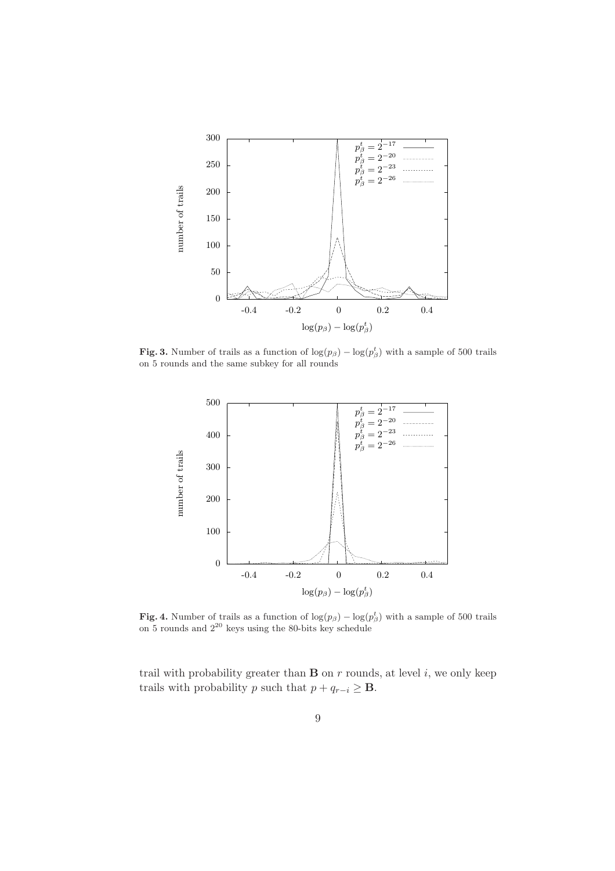

Fig. 3. Number of trails as a function of  $\log(p_\beta) - \log(p_\beta^t)$  with a sample of 500 trails on 5 rounds and the same subkey for all rounds



Fig. 4. Number of trails as a function of  $\log(p_\beta) - \log(p_\beta^t)$  with a sample of 500 trails on 5 rounds and  $2^{20}$  keys using the 80-bits key schedule

trail with probability greater than  $B$  on  $r$  rounds, at level  $i$ , we only keep trails with probability p such that  $p + q_{r-i} \geq \mathbf{B}$ .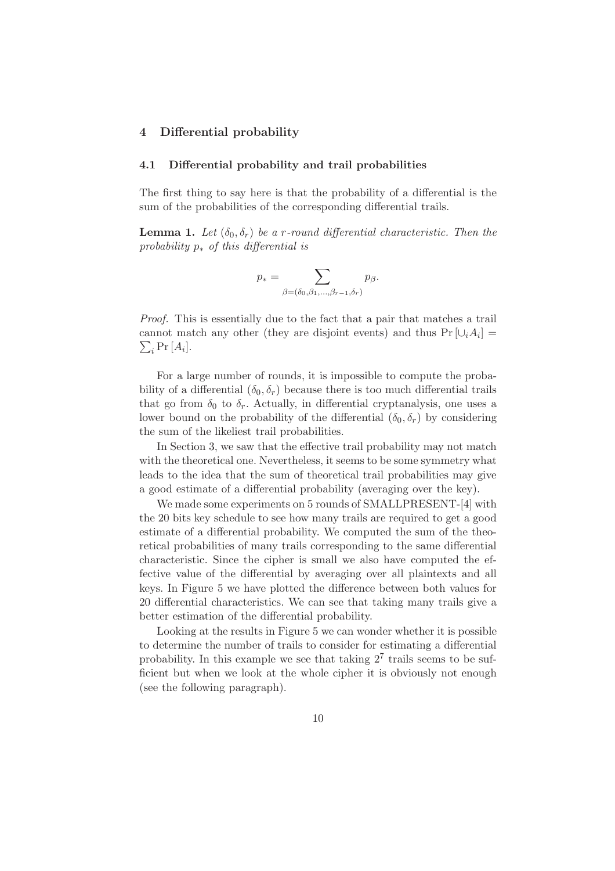### 4 Differential probability

#### 4.1 Differential probability and trail probabilities

The first thing to say here is that the probability of a differential is the sum of the probabilities of the corresponding differential trails.

**Lemma 1.** Let  $(\delta_0, \delta_r)$  be a r-round differential characteristic. Then the probability  $p_*$  of this differential is

$$
p_* = \sum_{\beta = (\delta_0, \beta_1, \dots, \beta_{r-1}, \delta_r)} p_\beta.
$$

Proof. This is essentially due to the fact that a pair that matches a trail cannot match any other (they are disjoint events) and thus  $Pr[\cup_i A_i] =$  $\sum_i \Pr[A_i].$ 

For a large number of rounds, it is impossible to compute the probability of a differential  $(\delta_0, \delta_r)$  because there is too much differential trails that go from  $\delta_0$  to  $\delta_r$ . Actually, in differential cryptanalysis, one uses a lower bound on the probability of the differential  $(\delta_0, \delta_r)$  by considering the sum of the likeliest trail probabilities.

In Section 3, we saw that the effective trail probability may not match with the theoretical one. Nevertheless, it seems to be some symmetry what leads to the idea that the sum of theoretical trail probabilities may give a good estimate of a differential probability (averaging over the key).

We made some experiments on 5 rounds of SMALLPRESENT-[4] with the 20 bits key schedule to see how many trails are required to get a good estimate of a differential probability. We computed the sum of the theoretical probabilities of many trails corresponding to the same differential characteristic. Since the cipher is small we also have computed the effective value of the differential by averaging over all plaintexts and all keys. In Figure 5 we have plotted the difference between both values for 20 differential characteristics. We can see that taking many trails give a better estimation of the differential probability.

Looking at the results in Figure 5 we can wonder whether it is possible to determine the number of trails to consider for estimating a differential probability. In this example we see that taking  $2<sup>7</sup>$  trails seems to be sufficient but when we look at the whole cipher it is obviously not enough (see the following paragraph).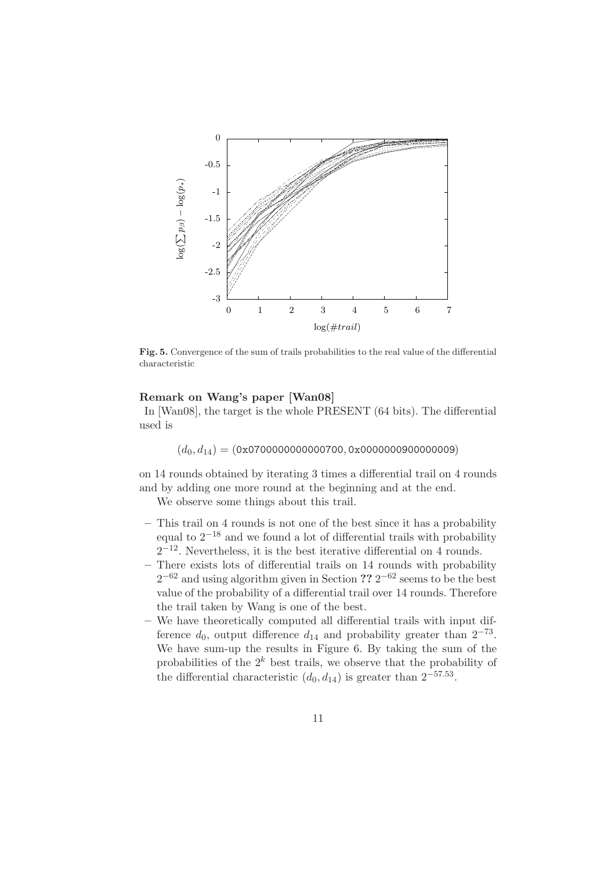

Fig. 5. Convergence of the sum of trails probabilities to the real value of the differential characteristic

#### Remark on Wang's paper [Wan08]

In [Wan08], the target is the whole PRESENT (64 bits). The differential used is

 $(d_0, d_{14}) = (0x0700000000000700, 0x0000000900000009)$ 

on 14 rounds obtained by iterating 3 times a differential trail on 4 rounds and by adding one more round at the beginning and at the end.

We observe some things about this trail.

- This trail on 4 rounds is not one of the best since it has a probability equal to  $2^{-18}$  and we found a lot of differential trails with probability  $2^{-12}$ . Nevertheless, it is the best iterative differential on 4 rounds.
- There exists lots of differential trails on 14 rounds with probability  $2^{-62}$  and using algorithm given in Section ??  $2^{-62}$  seems to be the best value of the probability of a differential trail over 14 rounds. Therefore the trail taken by Wang is one of the best.
- We have theoretically computed all differential trails with input difference  $d_0$ , output difference  $d_{14}$  and probability greater than  $2^{-73}$ . We have sum-up the results in Figure 6. By taking the sum of the probabilities of the  $2^k$  best trails, we observe that the probability of the differential characteristic  $(d_0, d_{14})$  is greater than  $2^{-57.53}$ .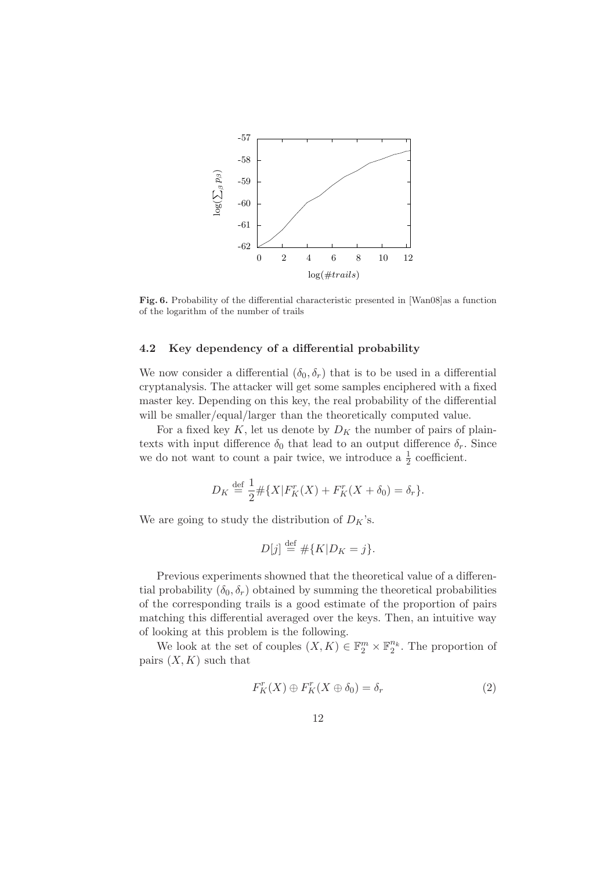

Fig. 6. Probability of the differential characteristic presented in [Wan08]as a function of the logarithm of the number of trails

### 4.2 Key dependency of a differential probability

We now consider a differential  $(\delta_0, \delta_r)$  that is to be used in a differential cryptanalysis. The attacker will get some samples enciphered with a fixed master key. Depending on this key, the real probability of the differential will be smaller/equal/larger than the theoretically computed value.

For a fixed key K, let us denote by  $D_K$  the number of pairs of plaintexts with input difference  $\delta_0$  that lead to an output difference  $\delta_r$ . Since we do not want to count a pair twice, we introduce a  $\frac{1}{2}$  coefficient.

$$
D_K \stackrel{\text{def}}{=} \frac{1}{2} \# \{ X | F_K^r(X) + F_K^r(X + \delta_0) = \delta_r \}.
$$

We are going to study the distribution of  $D_K$ 's.

$$
D[j] \stackrel{\text{def}}{=} \# \{ K | D_K = j \}.
$$

Previous experiments showned that the theoretical value of a differential probability  $(\delta_0, \delta_r)$  obtained by summing the theoretical probabilities of the corresponding trails is a good estimate of the proportion of pairs matching this differential averaged over the keys. Then, an intuitive way of looking at this problem is the following.

We look at the set of couples  $(X, K) \in \mathbb{F}_2^m \times \mathbb{F}_2^{n_k}$ . The proportion of pairs  $(X, K)$  such that

$$
F_K^r(X) \oplus F_K^r(X \oplus \delta_0) = \delta_r \tag{2}
$$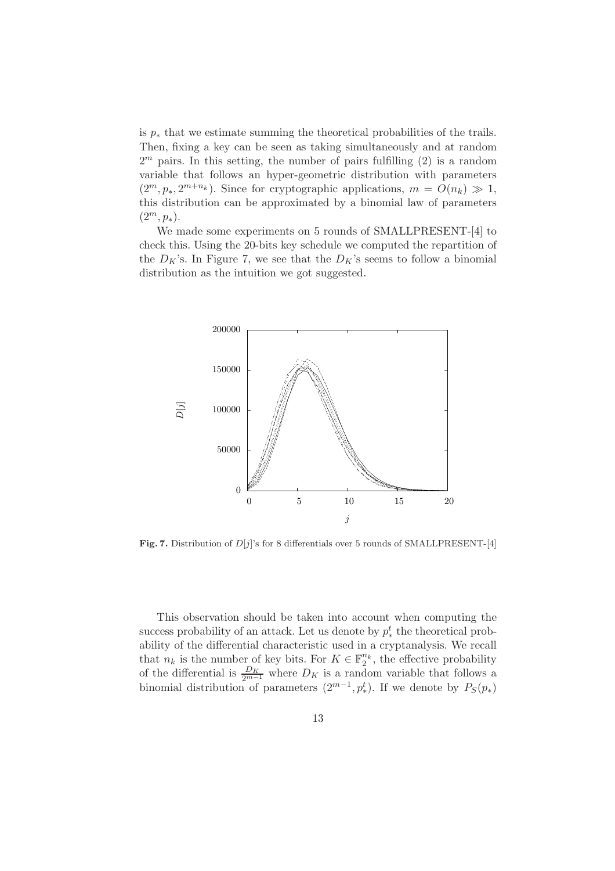is  $p_*$  that we estimate summing the theoretical probabilities of the trails. Then, fixing a key can be seen as taking simultaneously and at random  $2<sup>m</sup>$  pairs. In this setting, the number of pairs fulfilling  $(2)$  is a random variable that follows an hyper-geometric distribution with parameters  $(2^m, p_*, 2^{m+n_k})$ . Since for cryptographic applications,  $m = O(n_k) \gg 1$ , this distribution can be approximated by a binomial law of parameters  $(2^m, p_*)$ .

We made some experiments on 5 rounds of SMALLPRESENT-[4] to check this. Using the 20-bits key schedule we computed the repartition of the  $D_K$ 's. In Figure 7, we see that the  $D_K$ 's seems to follow a binomial distribution as the intuition we got suggested.



Fig. 7. Distribution of  $D[j]$ 's for 8 differentials over 5 rounds of SMALLPRESENT-[4]

This observation should be taken into account when computing the success probability of an attack. Let us denote by  $p_*^t$  the theoretical probability of the differential characteristic used in a cryptanalysis. We recall that  $n_k$  is the number of key bits. For  $K \in \mathbb{F}_2^{n_k}$ , the effective probability of the differential is  $\frac{D_K}{2^{m-1}}$  where  $D_K$  is a random variable that follows a binomial distribution of parameters  $(2^{m-1}, p_*^t)$ . If we denote by  $P_S(p_*)$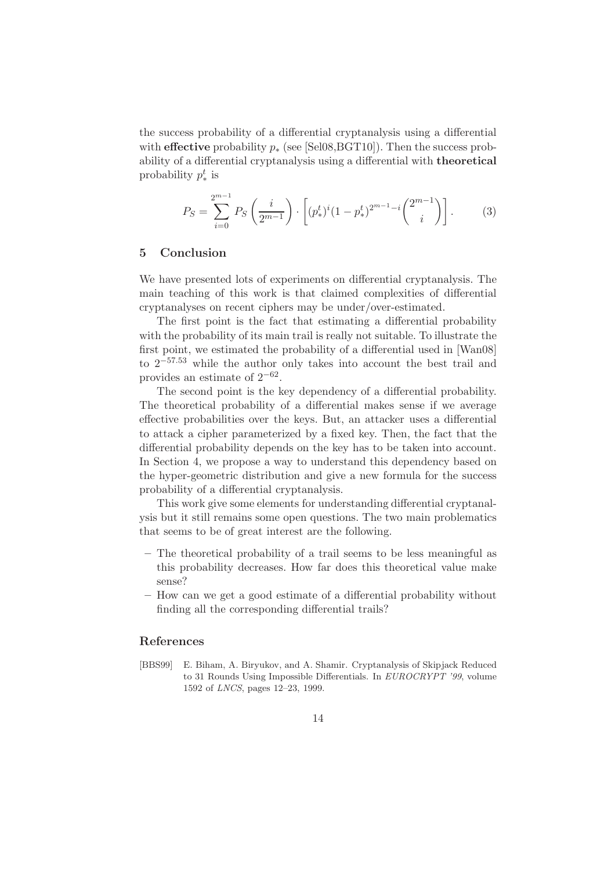the success probability of a differential cryptanalysis using a differential with **effective** probability  $p_*$  (see [Sel08, BGT10]). Then the success probability of a differential cryptanalysis using a differential with theoretical probability  $p_*^t$  is

$$
P_S = \sum_{i=0}^{2^{m-1}} P_S \left(\frac{i}{2^{m-1}}\right) \cdot \left[ (p_*^t)^i (1-p_*^t)^{2^{m-1}-i} \binom{2^{m-1}}{i} \right]. \tag{3}
$$

## 5 Conclusion

We have presented lots of experiments on differential cryptanalysis. The main teaching of this work is that claimed complexities of differential cryptanalyses on recent ciphers may be under/over-estimated.

The first point is the fact that estimating a differential probability with the probability of its main trail is really not suitable. To illustrate the first point, we estimated the probability of a differential used in [Wan08] to  $2^{-57.53}$  while the author only takes into account the best trail and provides an estimate of  $2^{-62}$ .

The second point is the key dependency of a differential probability. The theoretical probability of a differential makes sense if we average effective probabilities over the keys. But, an attacker uses a differential to attack a cipher parameterized by a fixed key. Then, the fact that the differential probability depends on the key has to be taken into account. In Section 4, we propose a way to understand this dependency based on the hyper-geometric distribution and give a new formula for the success probability of a differential cryptanalysis.

This work give some elements for understanding differential cryptanalysis but it still remains some open questions. The two main problematics that seems to be of great interest are the following.

- The theoretical probability of a trail seems to be less meaningful as this probability decreases. How far does this theoretical value make sense?
- How can we get a good estimate of a differential probability without finding all the corresponding differential trails?

### References

[BBS99] E. Biham, A. Biryukov, and A. Shamir. Cryptanalysis of Skipjack Reduced to 31 Rounds Using Impossible Differentials. In EUROCRYPT '99, volume 1592 of LNCS, pages 12–23, 1999.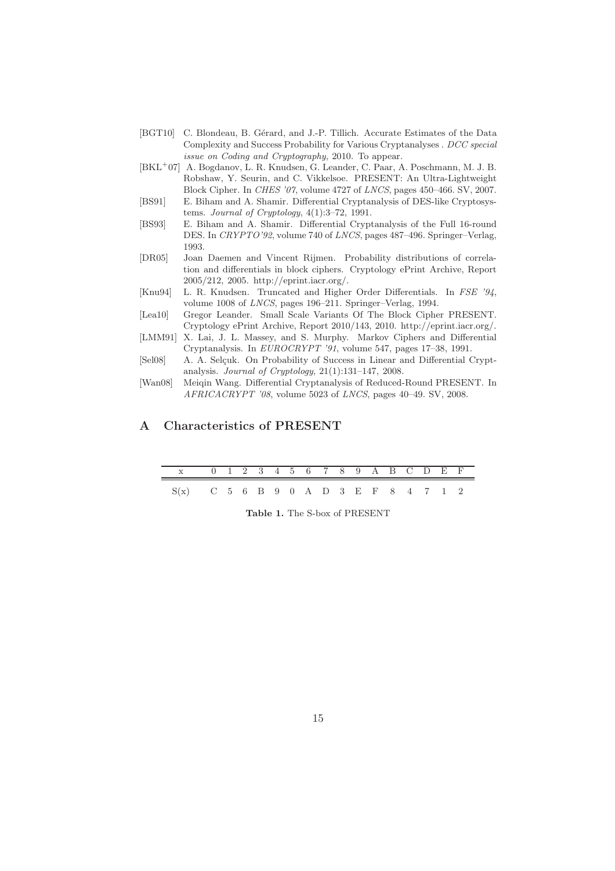- [BGT10] C. Blondeau, B. Gérard, and J.-P. Tillich. Accurate Estimates of the Data Complexity and Success Probability for Various Cryptanalyses . DCC special issue on Coding and Cryptography, 2010. To appear.
- [BKL<sup>+</sup>07] A. Bogdanov, L. R. Knudsen, G. Leander, C. Paar, A. Poschmann, M. J. B. Robshaw, Y. Seurin, and C. Vikkelsoe. PRESENT: An Ultra-Lightweight Block Cipher. In CHES '07, volume 4727 of LNCS, pages 450–466. SV, 2007.
- [BS91] E. Biham and A. Shamir. Differential Cryptanalysis of DES-like Cryptosystems. Journal of Cryptology, 4(1):3–72, 1991.
- [BS93] E. Biham and A. Shamir. Differential Cryptanalysis of the Full 16-round DES. In CRYPTO'92, volume 740 of LNCS, pages 487–496. Springer–Verlag, 1993.
- [DR05] Joan Daemen and Vincent Rijmen. Probability distributions of correlation and differentials in block ciphers. Cryptology ePrint Archive, Report 2005/212, 2005. http://eprint.iacr.org/.
- [Knu94] L. R. Knudsen. Truncated and Higher Order Differentials. In FSE '94, volume 1008 of LNCS, pages 196–211. Springer–Verlag, 1994.
- [Lea10] Gregor Leander. Small Scale Variants Of The Block Cipher PRESENT. Cryptology ePrint Archive, Report 2010/143, 2010. http://eprint.iacr.org/.
- [LMM91] X. Lai, J. L. Massey, and S. Murphy. Markov Ciphers and Differential Cryptanalysis. In EUROCRYPT '91, volume 547, pages 17–38, 1991.
- [Sel08] A. A. Selcuk. On Probability of Success in Linear and Differential Cryptanalysis. Journal of Cryptology, 21(1):131–147, 2008.
- [Wan08] Meiqin Wang. Differential Cryptanalysis of Reduced-Round PRESENT. In AFRICACRYPT '08, volume 5023 of LNCS, pages 40–49. SV, 2008.

# A Characteristics of PRESENT

| x 0 1 2 3 4 5 6 7 8 9 A B C D E F      |  |  |  |  |  |  |  |  |
|----------------------------------------|--|--|--|--|--|--|--|--|
| $S(x)$ C 5 6 B 9 0 A D 3 E F 8 4 7 1 2 |  |  |  |  |  |  |  |  |

Table 1. The S-box of PRESENT